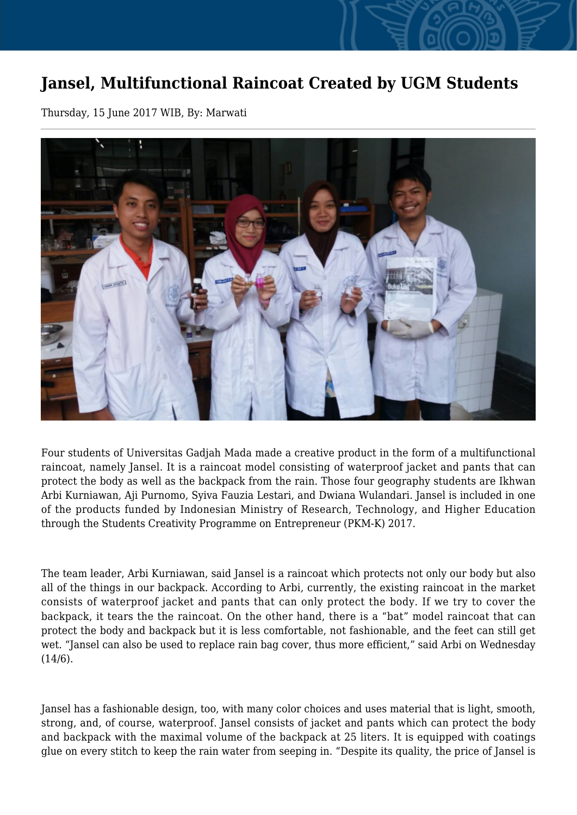## **Jansel, Multifunctional Raincoat Created by UGM Students**

Thursday, 15 June 2017 WIB, By: Marwati



Four students of Universitas Gadjah Mada made a creative product in the form of a multifunctional raincoat, namely Jansel. It is a raincoat model consisting of waterproof jacket and pants that can protect the body as well as the backpack from the rain. Those four geography students are Ikhwan Arbi Kurniawan, Aji Purnomo, Syiva Fauzia Lestari, and Dwiana Wulandari. Jansel is included in one of the products funded by Indonesian Ministry of Research, Technology, and Higher Education through the Students Creativity Programme on Entrepreneur (PKM-K) 2017.

The team leader, Arbi Kurniawan, said Jansel is a raincoat which protects not only our body but also all of the things in our backpack. According to Arbi, currently, the existing raincoat in the market consists of waterproof jacket and pants that can only protect the body. If we try to cover the backpack, it tears the the raincoat. On the other hand, there is a "bat" model raincoat that can protect the body and backpack but it is less comfortable, not fashionable, and the feet can still get wet. "Jansel can also be used to replace rain bag cover, thus more efficient," said Arbi on Wednesday  $(14/6).$ 

Jansel has a fashionable design, too, with many color choices and uses material that is light, smooth, strong, and, of course, waterproof. Jansel consists of jacket and pants which can protect the body and backpack with the maximal volume of the backpack at 25 liters. It is equipped with coatings glue on every stitch to keep the rain water from seeping in. "Despite its quality, the price of Jansel is